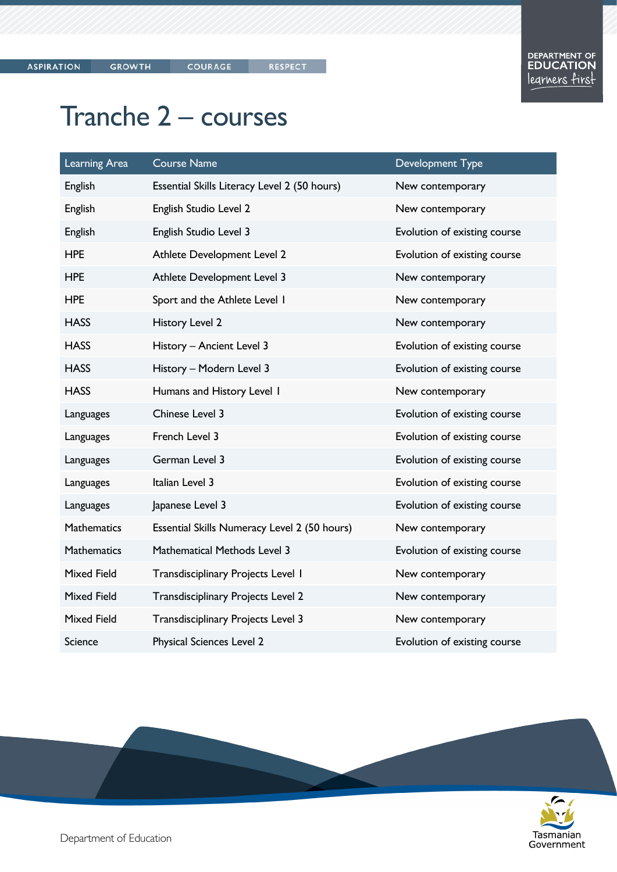## Tranche 2 - courses

| Learning Area      | <b>Course Name</b>                           | Development Type             |
|--------------------|----------------------------------------------|------------------------------|
| <b>English</b>     | Essential Skills Literacy Level 2 (50 hours) | New contemporary             |
| <b>English</b>     | English Studio Level 2                       | New contemporary             |
| <b>English</b>     | English Studio Level 3                       | Evolution of existing course |
| <b>HPE</b>         | Athlete Development Level 2                  | Evolution of existing course |
| <b>HPE</b>         | Athlete Development Level 3                  | New contemporary             |
| <b>HPE</b>         | Sport and the Athlete Level I                | New contemporary             |
| <b>HASS</b>        | History Level 2                              | New contemporary             |
| <b>HASS</b>        | History - Ancient Level 3                    | Evolution of existing course |
| <b>HASS</b>        | History - Modern Level 3                     | Evolution of existing course |
| <b>HASS</b>        | Humans and History Level I                   | New contemporary             |
| Languages          | Chinese Level 3                              | Evolution of existing course |
| Languages          | French Level 3                               | Evolution of existing course |
| Languages          | German Level 3                               | Evolution of existing course |
| Languages          | Italian Level 3                              | Evolution of existing course |
| Languages          | Japanese Level 3                             | Evolution of existing course |
| <b>Mathematics</b> | Essential Skills Numeracy Level 2 (50 hours) | New contemporary             |
| <b>Mathematics</b> | Mathematical Methods Level 3                 | Evolution of existing course |
| <b>Mixed Field</b> | Transdisciplinary Projects Level 1           | New contemporary             |
| <b>Mixed Field</b> | Transdisciplinary Projects Level 2           | New contemporary             |
| <b>Mixed Field</b> | Transdisciplinary Projects Level 3           | New contemporary             |
| <b>Science</b>     | Physical Sciences Level 2                    | Evolution of existing course |